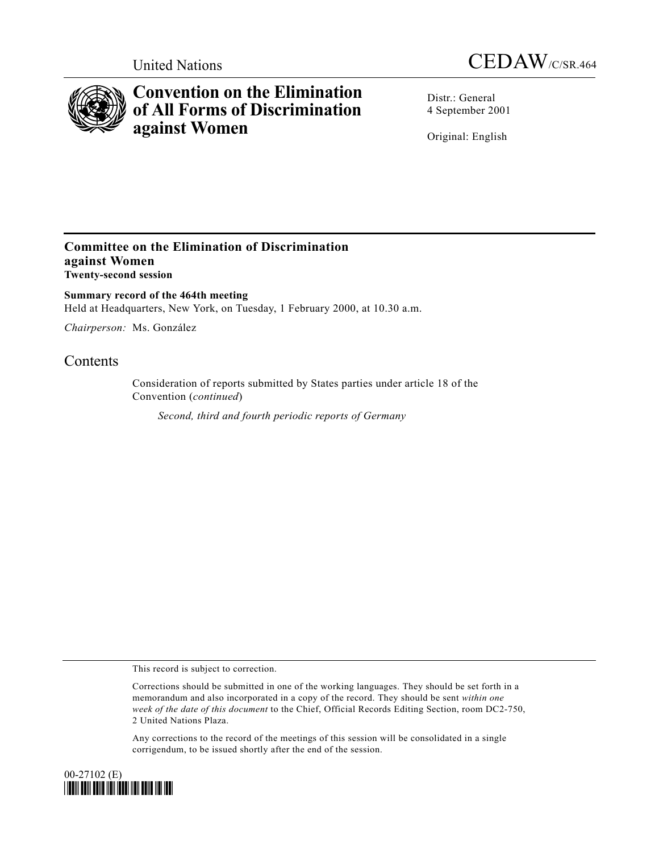



## **Convention on the Elimination of All Forms of Discrimination against Women**

Distr.: General 4 September 2001

Original: English

## **Committee on the Elimination of Discrimination against Women Twenty-second session**

**Summary record of the 464th meeting** Held at Headquarters, New York, on Tuesday, 1 February 2000, at 10.30 a.m.

*Chairperson:* Ms. González

## **Contents**

Consideration of reports submitted by States parties under article 18 of the Convention (*continued*)

*Second, third and fourth periodic reports of Germany*

This record is subject to correction.

Any corrections to the record of the meetings of this session will be consolidated in a single corrigendum, to be issued shortly after the end of the session.



Corrections should be submitted in one of the working languages. They should be set forth in a memorandum and also incorporated in a copy of the record. They should be sent *within one week of the date of this document* to the Chief, Official Records Editing Section, room DC2-750, 2 United Nations Plaza.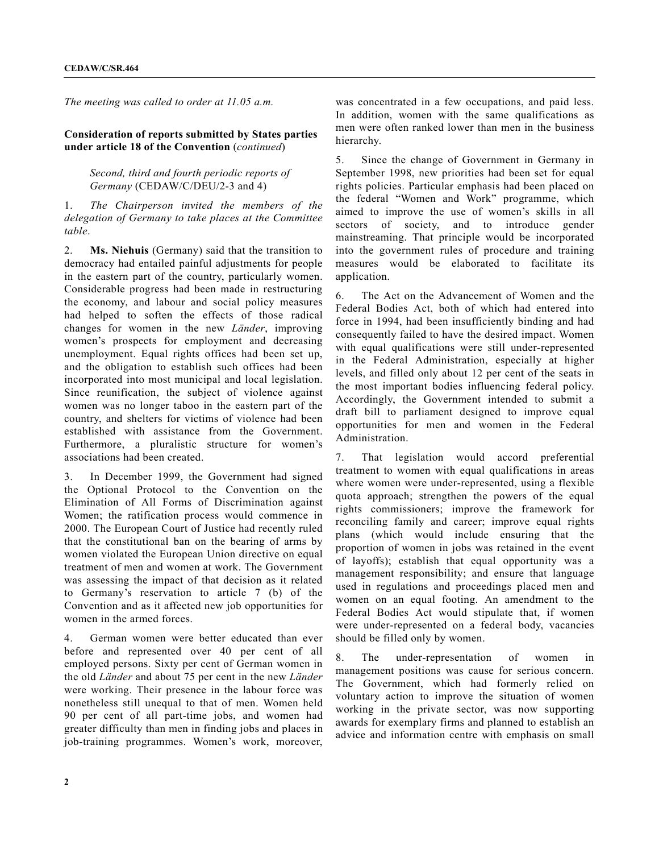*The meeting was called to order at 11.05 a.m.*

**Consideration of reports submitted by States parties under article 18 of the Convention** (*continued*)

> *Second, third and fourth periodic reports of Germany* (CEDAW/C/DEU/2-3 and 4)

1. *The Chairperson invited the members of the delegation of Germany to take places at the Committee table*.

2. **Ms. Niehuis** (Germany) said that the transition to democracy had entailed painful adjustments for people in the eastern part of the country, particularly women. Considerable progress had been made in restructuring the economy, and labour and social policy measures had helped to soften the effects of those radical changes for women in the new *Länder*, improving women's prospects for employment and decreasing unemployment. Equal rights offices had been set up, and the obligation to establish such offices had been incorporated into most municipal and local legislation. Since reunification, the subject of violence against women was no longer taboo in the eastern part of the country, and shelters for victims of violence had been established with assistance from the Government. Furthermore, a pluralistic structure for women's associations had been created.

3. In December 1999, the Government had signed the Optional Protocol to the Convention on the Elimination of All Forms of Discrimination against Women; the ratification process would commence in 2000. The European Court of Justice had recently ruled that the constitutional ban on the bearing of arms by women violated the European Union directive on equal treatment of men and women at work. The Government was assessing the impact of that decision as it related to Germany's reservation to article 7 (b) of the Convention and as it affected new job opportunities for women in the armed forces.

4. German women were better educated than ever before and represented over 40 per cent of all employed persons. Sixty per cent of German women in the old *Länder* and about 75 per cent in the new *Länder* were working. Their presence in the labour force was nonetheless still unequal to that of men. Women held 90 per cent of all part-time jobs, and women had greater difficulty than men in finding jobs and places in job-training programmes. Women's work, moreover,

was concentrated in a few occupations, and paid less. In addition, women with the same qualifications as men were often ranked lower than men in the business hierarchy.

5. Since the change of Government in Germany in September 1998, new priorities had been set for equal rights policies. Particular emphasis had been placed on the federal "Women and Work" programme, which aimed to improve the use of women's skills in all sectors of society, and to introduce gender mainstreaming. That principle would be incorporated into the government rules of procedure and training measures would be elaborated to facilitate its application.

6. The Act on the Advancement of Women and the Federal Bodies Act, both of which had entered into force in 1994, had been insufficiently binding and had consequently failed to have the desired impact. Women with equal qualifications were still under-represented in the Federal Administration, especially at higher levels, and filled only about 12 per cent of the seats in the most important bodies influencing federal policy. Accordingly, the Government intended to submit a draft bill to parliament designed to improve equal opportunities for men and women in the Federal Administration.

7. That legislation would accord preferential treatment to women with equal qualifications in areas where women were under-represented, using a flexible quota approach; strengthen the powers of the equal rights commissioners; improve the framework for reconciling family and career; improve equal rights plans (which would include ensuring that the proportion of women in jobs was retained in the event of layoffs); establish that equal opportunity was a management responsibility; and ensure that language used in regulations and proceedings placed men and women on an equal footing. An amendment to the Federal Bodies Act would stipulate that, if women were under-represented on a federal body, vacancies should be filled only by women.

8. The under-representation of women in management positions was cause for serious concern. The Government, which had formerly relied on voluntary action to improve the situation of women working in the private sector, was now supporting awards for exemplary firms and planned to establish an advice and information centre with emphasis on small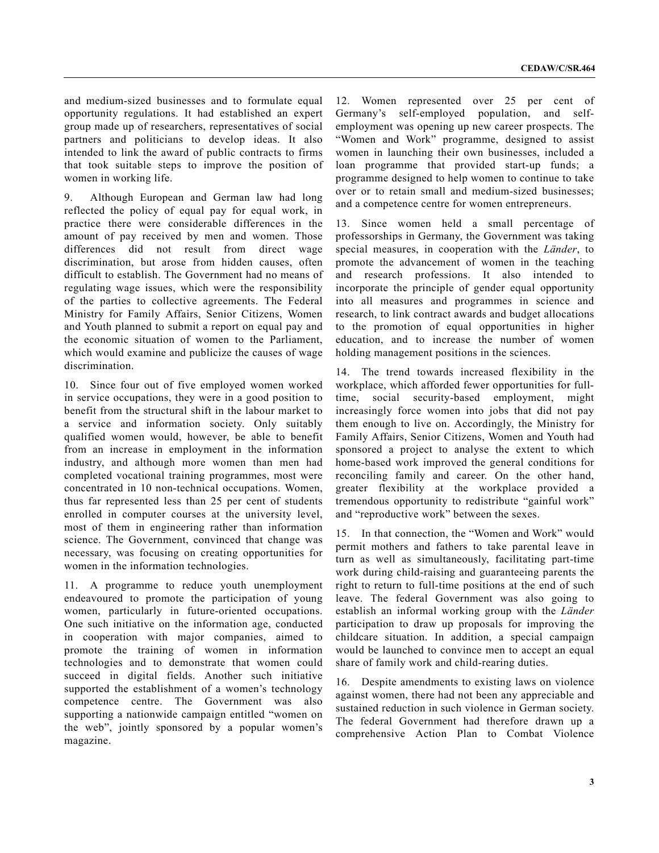and medium-sized businesses and to formulate equal opportunity regulations. It had established an expert group made up of researchers, representatives of social partners and politicians to develop ideas. It also intended to link the award of public contracts to firms that took suitable steps to improve the position of women in working life.

9. Although European and German law had long reflected the policy of equal pay for equal work, in practice there were considerable differences in the amount of pay received by men and women. Those differences did not result from direct wage discrimination, but arose from hidden causes, often difficult to establish. The Government had no means of regulating wage issues, which were the responsibility of the parties to collective agreements. The Federal Ministry for Family Affairs, Senior Citizens, Women and Youth planned to submit a report on equal pay and the economic situation of women to the Parliament, which would examine and publicize the causes of wage discrimination.

10. Since four out of five employed women worked in service occupations, they were in a good position to benefit from the structural shift in the labour market to a service and information society. Only suitably qualified women would, however, be able to benefit from an increase in employment in the information industry, and although more women than men had completed vocational training programmes, most were concentrated in 10 non-technical occupations. Women, thus far represented less than 25 per cent of students enrolled in computer courses at the university level, most of them in engineering rather than information science. The Government, convinced that change was necessary, was focusing on creating opportunities for women in the information technologies.

11. A programme to reduce youth unemployment endeavoured to promote the participation of young women, particularly in future-oriented occupations. One such initiative on the information age, conducted in cooperation with major companies, aimed to promote the training of women in information technologies and to demonstrate that women could succeed in digital fields. Another such initiative supported the establishment of a women's technology competence centre. The Government was also supporting a nationwide campaign entitled "women on the web", jointly sponsored by a popular women's magazine.

12. Women represented over 25 per cent of Germany's self-employed population, and selfemployment was opening up new career prospects. The "Women and Work" programme, designed to assist women in launching their own businesses, included a loan programme that provided start-up funds; a programme designed to help women to continue to take over or to retain small and medium-sized businesses; and a competence centre for women entrepreneurs.

13. Since women held a small percentage of professorships in Germany, the Government was taking special measures, in cooperation with the *Länder*, to promote the advancement of women in the teaching and research professions. It also intended to incorporate the principle of gender equal opportunity into all measures and programmes in science and research, to link contract awards and budget allocations to the promotion of equal opportunities in higher education, and to increase the number of women holding management positions in the sciences.

14. The trend towards increased flexibility in the workplace, which afforded fewer opportunities for fulltime, social security-based employment, might increasingly force women into jobs that did not pay them enough to live on. Accordingly, the Ministry for Family Affairs, Senior Citizens, Women and Youth had sponsored a project to analyse the extent to which home-based work improved the general conditions for reconciling family and career. On the other hand, greater flexibility at the workplace provided a tremendous opportunity to redistribute "gainful work" and "reproductive work" between the sexes.

15. In that connection, the "Women and Work" would permit mothers and fathers to take parental leave in turn as well as simultaneously, facilitating part-time work during child-raising and guaranteeing parents the right to return to full-time positions at the end of such leave. The federal Government was also going to establish an informal working group with the *Länder* participation to draw up proposals for improving the childcare situation. In addition, a special campaign would be launched to convince men to accept an equal share of family work and child-rearing duties.

16. Despite amendments to existing laws on violence against women, there had not been any appreciable and sustained reduction in such violence in German society. The federal Government had therefore drawn up a comprehensive Action Plan to Combat Violence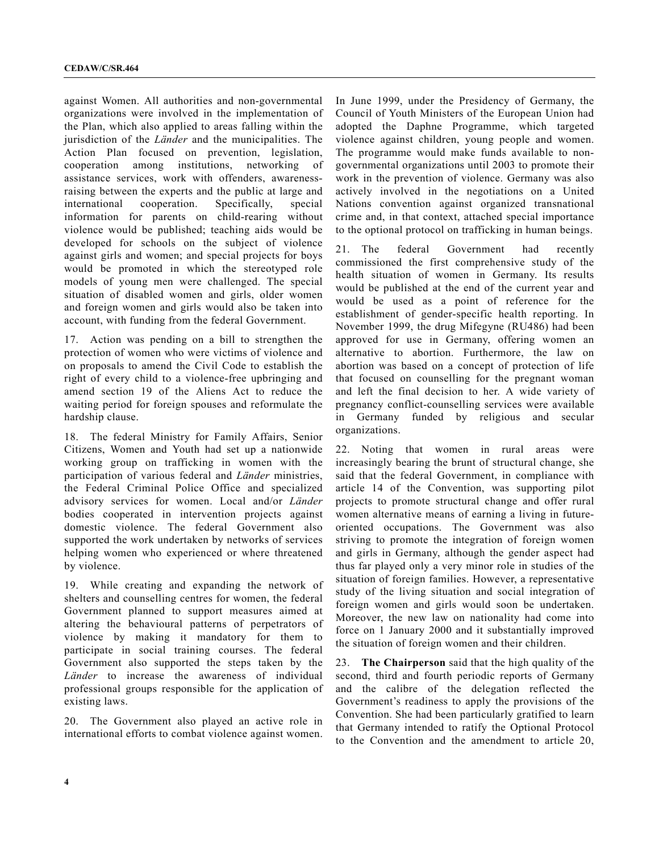against Women. All authorities and non-governmental organizations were involved in the implementation of the Plan, which also applied to areas falling within the jurisdiction of the *Länder* and the municipalities. The Action Plan focused on prevention, legislation, cooperation among institutions, networking of assistance services, work with offenders, awarenessraising between the experts and the public at large and international cooperation. Specifically, special information for parents on child-rearing without violence would be published; teaching aids would be developed for schools on the subject of violence against girls and women; and special projects for boys would be promoted in which the stereotyped role models of young men were challenged. The special situation of disabled women and girls, older women and foreign women and girls would also be taken into account, with funding from the federal Government.

17. Action was pending on a bill to strengthen the protection of women who were victims of violence and on proposals to amend the Civil Code to establish the right of every child to a violence-free upbringing and amend section 19 of the Aliens Act to reduce the waiting period for foreign spouses and reformulate the hardship clause.

18. The federal Ministry for Family Affairs, Senior Citizens, Women and Youth had set up a nationwide working group on trafficking in women with the participation of various federal and *Länder* ministries, the Federal Criminal Police Office and specialized advisory services for women. Local and/or *Länder* bodies cooperated in intervention projects against domestic violence. The federal Government also supported the work undertaken by networks of services helping women who experienced or where threatened by violence.

19. While creating and expanding the network of shelters and counselling centres for women, the federal Government planned to support measures aimed at altering the behavioural patterns of perpetrators of violence by making it mandatory for them to participate in social training courses. The federal Government also supported the steps taken by the *Länder* to increase the awareness of individual professional groups responsible for the application of existing laws.

20. The Government also played an active role in international efforts to combat violence against women.

In June 1999, under the Presidency of Germany, the Council of Youth Ministers of the European Union had adopted the Daphne Programme, which targeted violence against children, young people and women. The programme would make funds available to nongovernmental organizations until 2003 to promote their work in the prevention of violence. Germany was also actively involved in the negotiations on a United Nations convention against organized transnational crime and, in that context, attached special importance to the optional protocol on trafficking in human beings.

21. The federal Government had recently commissioned the first comprehensive study of the health situation of women in Germany. Its results would be published at the end of the current year and would be used as a point of reference for the establishment of gender-specific health reporting. In November 1999, the drug Mifegyne (RU486) had been approved for use in Germany, offering women an alternative to abortion. Furthermore, the law on abortion was based on a concept of protection of life that focused on counselling for the pregnant woman and left the final decision to her. A wide variety of pregnancy conflict-counselling services were available in Germany funded by religious and secular organizations.

22. Noting that women in rural areas were increasingly bearing the brunt of structural change, she said that the federal Government, in compliance with article 14 of the Convention, was supporting pilot projects to promote structural change and offer rural women alternative means of earning a living in futureoriented occupations. The Government was also striving to promote the integration of foreign women and girls in Germany, although the gender aspect had thus far played only a very minor role in studies of the situation of foreign families. However, a representative study of the living situation and social integration of foreign women and girls would soon be undertaken. Moreover, the new law on nationality had come into force on 1 January 2000 and it substantially improved the situation of foreign women and their children.

23. **The Chairperson** said that the high quality of the second, third and fourth periodic reports of Germany and the calibre of the delegation reflected the Government's readiness to apply the provisions of the Convention. She had been particularly gratified to learn that Germany intended to ratify the Optional Protocol to the Convention and the amendment to article 20,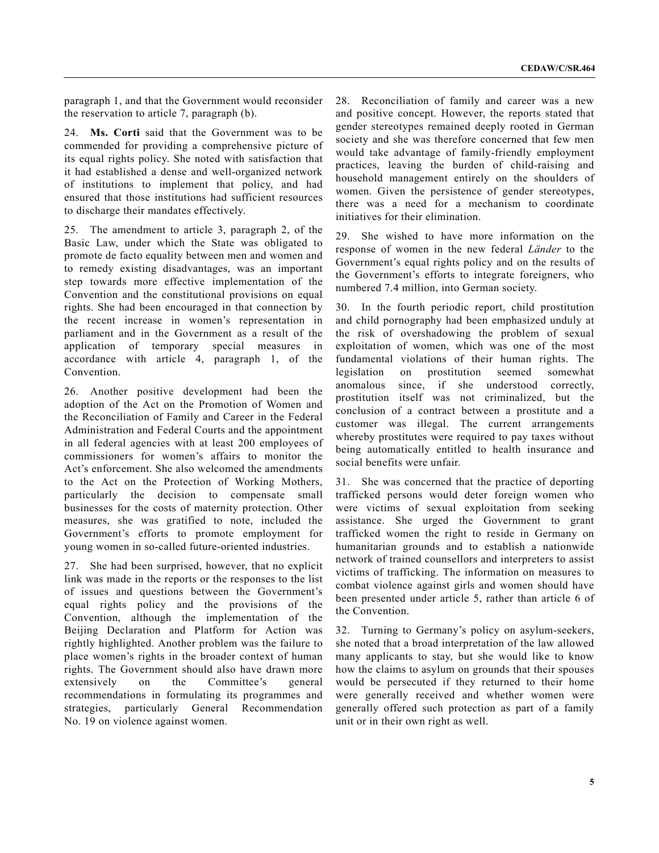paragraph 1, and that the Government would reconsider the reservation to article 7, paragraph (b).

24. **Ms. Corti** said that the Government was to be commended for providing a comprehensive picture of its equal rights policy. She noted with satisfaction that it had established a dense and well-organized network of institutions to implement that policy, and had ensured that those institutions had sufficient resources to discharge their mandates effectively.

25. The amendment to article 3, paragraph 2, of the Basic Law, under which the State was obligated to promote de facto equality between men and women and to remedy existing disadvantages, was an important step towards more effective implementation of the Convention and the constitutional provisions on equal rights. She had been encouraged in that connection by the recent increase in women's representation in parliament and in the Government as a result of the application of temporary special measures in accordance with article 4, paragraph 1, of the Convention.

26. Another positive development had been the adoption of the Act on the Promotion of Women and the Reconciliation of Family and Career in the Federal Administration and Federal Courts and the appointment in all federal agencies with at least 200 employees of commissioners for women's affairs to monitor the Act's enforcement. She also welcomed the amendments to the Act on the Protection of Working Mothers, particularly the decision to compensate small businesses for the costs of maternity protection. Other measures, she was gratified to note, included the Government's efforts to promote employment for young women in so-called future-oriented industries.

27. She had been surprised, however, that no explicit link was made in the reports or the responses to the list of issues and questions between the Government's equal rights policy and the provisions of the Convention, although the implementation of the Beijing Declaration and Platform for Action was rightly highlighted. Another problem was the failure to place women's rights in the broader context of human rights. The Government should also have drawn more extensively on the Committee's general recommendations in formulating its programmes and strategies, particularly General Recommendation No. 19 on violence against women.

28. Reconciliation of family and career was a new and positive concept. However, the reports stated that gender stereotypes remained deeply rooted in German society and she was therefore concerned that few men would take advantage of family-friendly employment practices, leaving the burden of child-raising and household management entirely on the shoulders of women. Given the persistence of gender stereotypes, there was a need for a mechanism to coordinate initiatives for their elimination.

29. She wished to have more information on the response of women in the new federal *Länder* to the Government's equal rights policy and on the results of the Government's efforts to integrate foreigners, who numbered 7.4 million, into German society.

30. In the fourth periodic report, child prostitution and child pornography had been emphasized unduly at the risk of overshadowing the problem of sexual exploitation of women, which was one of the most fundamental violations of their human rights. The legislation on prostitution seemed somewhat anomalous since, if she understood correctly, prostitution itself was not criminalized, but the conclusion of a contract between a prostitute and a customer was illegal. The current arrangements whereby prostitutes were required to pay taxes without being automatically entitled to health insurance and social benefits were unfair.

31. She was concerned that the practice of deporting trafficked persons would deter foreign women who were victims of sexual exploitation from seeking assistance. She urged the Government to grant trafficked women the right to reside in Germany on humanitarian grounds and to establish a nationwide network of trained counsellors and interpreters to assist victims of trafficking. The information on measures to combat violence against girls and women should have been presented under article 5, rather than article 6 of the Convention.

32. Turning to Germany's policy on asylum-seekers, she noted that a broad interpretation of the law allowed many applicants to stay, but she would like to know how the claims to asylum on grounds that their spouses would be persecuted if they returned to their home were generally received and whether women were generally offered such protection as part of a family unit or in their own right as well.